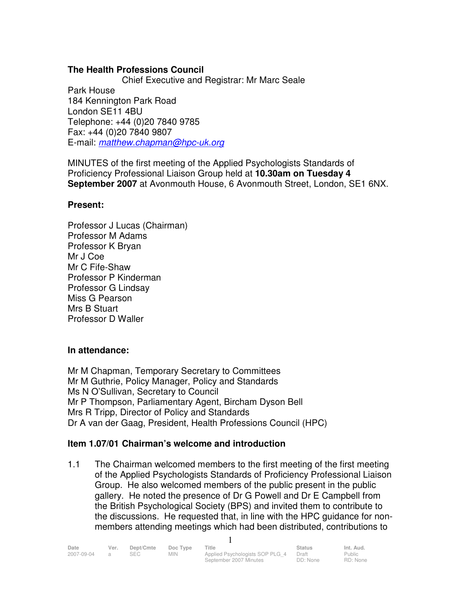# **The Health Professions Council**

 Chief Executive and Registrar: Mr Marc Seale Park House 184 Kennington Park Road London SE11 4BU Telephone: +44 (0)20 7840 9785 Fax: +44 (0)20 7840 9807 E-mail: matthew.chapman@hpc-uk.org

MINUTES of the first meeting of the Applied Psychologists Standards of Proficiency Professional Liaison Group held at **10.30am on Tuesday 4 September 2007** at Avonmouth House, 6 Avonmouth Street, London, SE1 6NX.

# **Present:**

Professor J Lucas (Chairman) Professor M Adams Professor K Bryan Mr J Coe Mr C Fife-Shaw Professor P Kinderman Professor G Lindsay Miss G Pearson Mrs B Stuart Professor D Waller

# **In attendance:**

Mr M Chapman, Temporary Secretary to Committees Mr M Guthrie, Policy Manager, Policy and Standards Ms N O'Sullivan, Secretary to Council Mr P Thompson, Parliamentary Agent, Bircham Dyson Bell Mrs R Tripp, Director of Policy and Standards Dr A van der Gaag, President, Health Professions Council (HPC)

# **Item 1.07/01 Chairman's welcome and introduction**

1.1 The Chairman welcomed members to the first meeting of the first meeting of the Applied Psychologists Standards of Proficiency Professional Liaison Group. He also welcomed members of the public present in the public gallery. He noted the presence of Dr G Powell and Dr E Campbell from the British Psychological Society (BPS) and invited them to contribute to the discussions. He requested that, in line with the HPC guidance for nonmembers attending meetings which had been distributed, contributions to

1

| Date<br>Ver. | Dept/Cmte Doc Type Title |                                       | <b>Status</b> | Int. Aud. |
|--------------|--------------------------|---------------------------------------|---------------|-----------|
| 2007-09-04   | MIN.                     | Applied Psychologists SOP PLG 4 Draft |               | Public    |

Public RD: None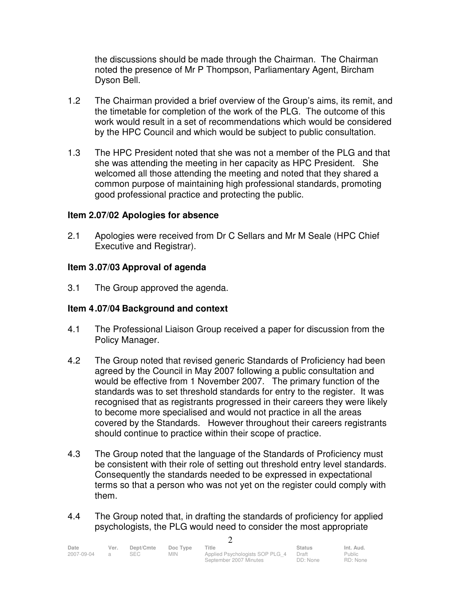the discussions should be made through the Chairman. The Chairman noted the presence of Mr P Thompson, Parliamentary Agent, Bircham Dyson Bell.

- 1.2 The Chairman provided a brief overview of the Group's aims, its remit, and the timetable for completion of the work of the PLG. The outcome of this work would result in a set of recommendations which would be considered by the HPC Council and which would be subject to public consultation.
- 1.3 The HPC President noted that she was not a member of the PLG and that she was attending the meeting in her capacity as HPC President. She welcomed all those attending the meeting and noted that they shared a common purpose of maintaining high professional standards, promoting good professional practice and protecting the public.

## **Item 2.07/02 Apologies for absence**

2.1 Apologies were received from Dr C Sellars and Mr M Seale (HPC Chief Executive and Registrar).

## **Item 3 .07/03 Approval of agenda**

3.1 The Group approved the agenda.

## **Item 4 .07/04 Background and context**

- 4.1 The Professional Liaison Group received a paper for discussion from the Policy Manager.
- 4.2 The Group noted that revised generic Standards of Proficiency had been agreed by the Council in May 2007 following a public consultation and would be effective from 1 November 2007. The primary function of the standards was to set threshold standards for entry to the register. It was recognised that as registrants progressed in their careers they were likely to become more specialised and would not practice in all the areas covered by the Standards. However throughout their careers registrants should continue to practice within their scope of practice.
- 4.3 The Group noted that the language of the Standards of Proficiency must be consistent with their role of setting out threshold entry level standards. Consequently the standards needed to be expressed in expectational terms so that a person who was not yet on the register could comply with them.
- 4.4 The Group noted that, in drafting the standards of proficiency for applied psychologists, the PLG would need to consider the most appropriate

 $\Omega$ 

| Date       | Ver. | Dept/Cmte | Doc Type   | Title                           | <b>Status</b> | Int. Aud. |
|------------|------|-----------|------------|---------------------------------|---------------|-----------|
| 2007-09-04 |      |           | <b>MIN</b> | Applied Psychologists SOP PLG 4 | Draft         | Public    |
|            |      |           |            | September 2007 Minutes          | DD: None      | RD: None  |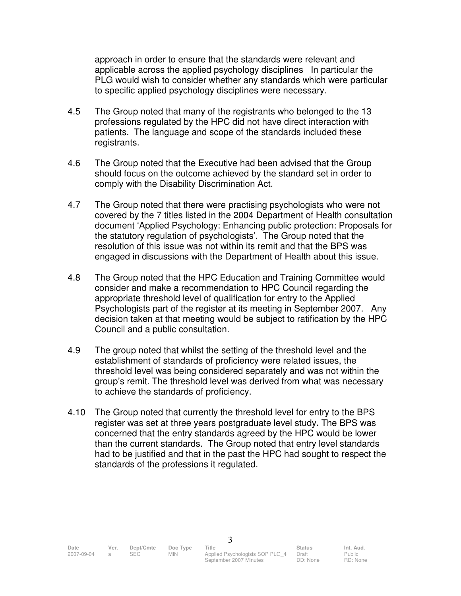approach in order to ensure that the standards were relevant and applicable across the applied psychology disciplines In particular the PLG would wish to consider whether any standards which were particular to specific applied psychology disciplines were necessary.

- 4.5 The Group noted that many of the registrants who belonged to the 13 professions regulated by the HPC did not have direct interaction with patients. The language and scope of the standards included these registrants.
- 4.6 The Group noted that the Executive had been advised that the Group should focus on the outcome achieved by the standard set in order to comply with the Disability Discrimination Act.
- 4.7 The Group noted that there were practising psychologists who were not covered by the 7 titles listed in the 2004 Department of Health consultation document 'Applied Psychology: Enhancing public protection: Proposals for the statutory regulation of psychologists'. The Group noted that the resolution of this issue was not within its remit and that the BPS was engaged in discussions with the Department of Health about this issue.
- 4.8 The Group noted that the HPC Education and Training Committee would consider and make a recommendation to HPC Council regarding the appropriate threshold level of qualification for entry to the Applied Psychologists part of the register at its meeting in September 2007. Any decision taken at that meeting would be subject to ratification by the HPC Council and a public consultation.
- 4.9 The group noted that whilst the setting of the threshold level and the establishment of standards of proficiency were related issues, the threshold level was being considered separately and was not within the group's remit. The threshold level was derived from what was necessary to achieve the standards of proficiency.
- 4.10 The Group noted that currently the threshold level for entry to the BPS register was set at three years postgraduate level study**.** The BPS was concerned that the entry standards agreed by the HPC would be lower than the current standards. The Group noted that entry level standards had to be justified and that in the past the HPC had sought to respect the standards of the professions it regulated.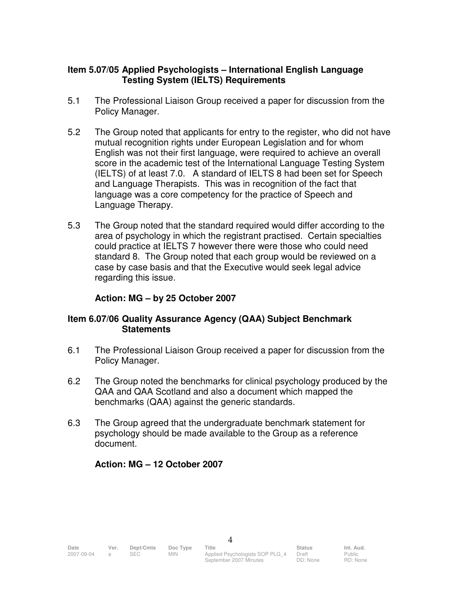## **Item 5.07/05 Applied Psychologists – International English Language Testing System (IELTS) Requirements**

- 5.1 The Professional Liaison Group received a paper for discussion from the Policy Manager.
- 5.2 The Group noted that applicants for entry to the register, who did not have mutual recognition rights under European Legislation and for whom English was not their first language, were required to achieve an overall score in the academic test of the International Language Testing System (IELTS) of at least 7.0. A standard of IELTS 8 had been set for Speech and Language Therapists. This was in recognition of the fact that language was a core competency for the practice of Speech and Language Therapy.
- 5.3 The Group noted that the standard required would differ according to the area of psychology in which the registrant practised. Certain specialties could practice at IELTS 7 however there were those who could need standard 8. The Group noted that each group would be reviewed on a case by case basis and that the Executive would seek legal advice regarding this issue.

# **Action: MG – by 25 October 2007**

## **Item 6.07/06 Quality Assurance Agency (QAA) Subject Benchmark Statements**

- 6.1 The Professional Liaison Group received a paper for discussion from the Policy Manager.
- 6.2 The Group noted the benchmarks for clinical psychology produced by the QAA and QAA Scotland and also a document which mapped the benchmarks (QAA) against the generic standards.
- 6.3 The Group agreed that the undergraduate benchmark statement for psychology should be made available to the Group as a reference document.

# **Action: MG – 12 October 2007**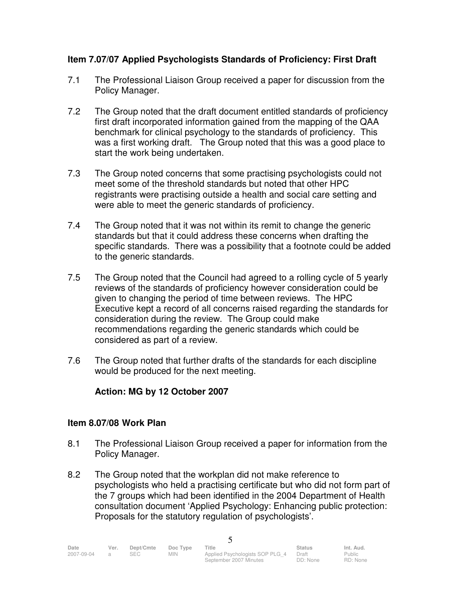# **Item 7.07/07 Applied Psychologists Standards of Proficiency: First Draft**

- 7.1 The Professional Liaison Group received a paper for discussion from the Policy Manager.
- 7.2 The Group noted that the draft document entitled standards of proficiency first draft incorporated information gained from the mapping of the QAA benchmark for clinical psychology to the standards of proficiency. This was a first working draft. The Group noted that this was a good place to start the work being undertaken.
- 7.3 The Group noted concerns that some practising psychologists could not meet some of the threshold standards but noted that other HPC registrants were practising outside a health and social care setting and were able to meet the generic standards of proficiency.
- 7.4 The Group noted that it was not within its remit to change the generic standards but that it could address these concerns when drafting the specific standards. There was a possibility that a footnote could be added to the generic standards.
- 7.5 The Group noted that the Council had agreed to a rolling cycle of 5 yearly reviews of the standards of proficiency however consideration could be given to changing the period of time between reviews. The HPC Executive kept a record of all concerns raised regarding the standards for consideration during the review. The Group could make recommendations regarding the generic standards which could be considered as part of a review.
- 7.6 The Group noted that further drafts of the standards for each discipline would be produced for the next meeting.

# **Action: MG by 12 October 2007**

# **Item 8.07/08 Work Plan**

- 8.1 The Professional Liaison Group received a paper for information from the Policy Manager.
- 8.2 The Group noted that the workplan did not make reference to psychologists who held a practising certificate but who did not form part of the 7 groups which had been identified in the 2004 Department of Health consultation document 'Applied Psychology: Enhancing public protection: Proposals for the statutory regulation of psychologists'.

5